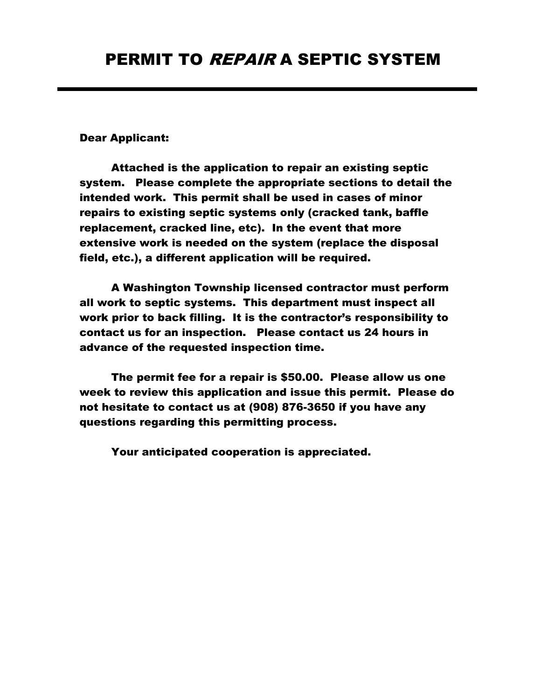## Dear Applicant:

Attached is the application to repair an existing septic system. Please complete the appropriate sections to detail the intended work. This permit shall be used in cases of minor repairs to existing septic systems only (cracked tank, baffle replacement, cracked line, etc). In the event that more extensive work is needed on the system (replace the disposal field, etc.), a different application will be required.

A Washington Township licensed contractor must perform all work to septic systems. This department must inspect all work prior to back filling. It is the contractor's responsibility to contact us for an inspection. Please contact us 24 hours in advance of the requested inspection time.

The permit fee for a repair is \$50.00. Please allow us one week to review this application and issue this permit. Please do not hesitate to contact us at (908) 876-3650 if you have any questions regarding this permitting process.

Your anticipated cooperation is appreciated.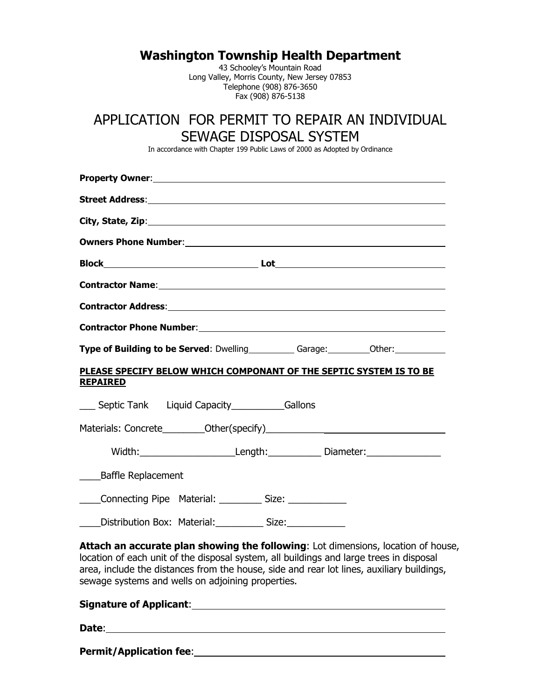**Washington Township Health Department**

43 Schooley's Mountain Road Long Valley, Morris County, New Jersey 07853 Telephone (908) 876-3650 Fax (908) 876-5138

## APPLICATION FOR PERMIT TO REPAIR AN INDIVIDUAL SEWAGE DISPOSAL SYSTEM

In accordance with Chapter 199 Public Laws of 2000 as Adopted by Ordinance

| Type of Building to be Served: Dwelling_____________ Garage:___________Other:_________________________________                                                                                                                                                                                                                 |  |  |
|--------------------------------------------------------------------------------------------------------------------------------------------------------------------------------------------------------------------------------------------------------------------------------------------------------------------------------|--|--|
| PLEASE SPECIFY BELOW WHICH COMPONANT OF THE SEPTIC SYSTEM IS TO BE<br><b>REPAIRED</b>                                                                                                                                                                                                                                          |  |  |
| ___ Septic Tank Liquid Capacity__________Gallons                                                                                                                                                                                                                                                                               |  |  |
|                                                                                                                                                                                                                                                                                                                                |  |  |
| Width:___________________________Length:________________Diameter:_______________                                                                                                                                                                                                                                               |  |  |
| <b>Baffle Replacement</b><br>$\overline{\phantom{a}}$                                                                                                                                                                                                                                                                          |  |  |
| Connecting Pipe Material: ___________ Size: ______________                                                                                                                                                                                                                                                                     |  |  |
| Distribution Box: Material: Size: Size:                                                                                                                                                                                                                                                                                        |  |  |
| Attach an accurate plan showing the following: Lot dimensions, location of house,<br>location of each unit of the disposal system, all buildings and large trees in disposal<br>area, include the distances from the house, side and rear lot lines, auxiliary buildings,<br>sewage systems and wells on adjoining properties. |  |  |
| <b>Signature of Applicant:</b>                                                                                                                                                                                                                                                                                                 |  |  |

**Date**:

**Permit/Application fee**: